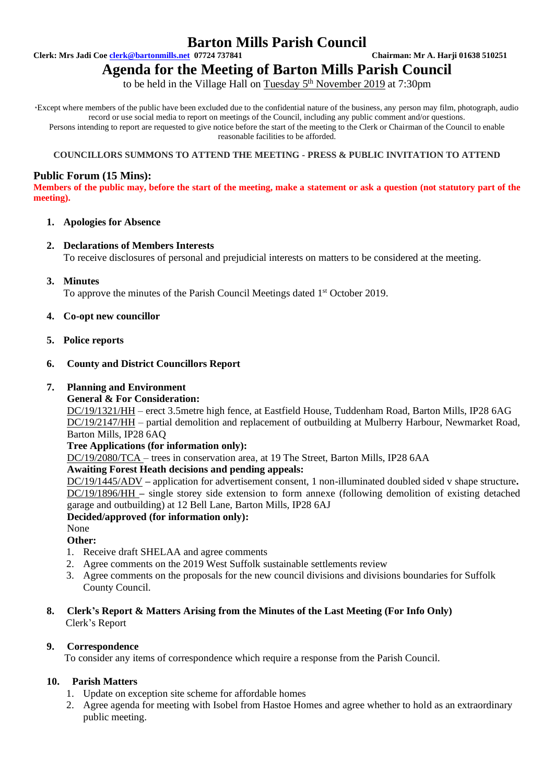# **Barton Mills Parish Council**

**Clerk: Mrs Jadi Coe [clerk@bartonmills.net](mailto:clerk@bartonmills.net) 07724 737841 Chairman: Mr A. Harji 01638 510251**

# **Agenda for the Meeting of Barton Mills Parish Council**

to be held in the Village Hall on Tuesday 5<sup>th</sup> November 2019 at 7:30pm

\*Except where members of the public have been excluded due to the confidential nature of the business, any person may film, photograph, audio record or use social media to report on meetings of the Council, including any public comment and/or questions. Persons intending to report are requested to give notice before the start of the meeting to the Clerk or Chairman of the Council to enable reasonable facilities to be afforded.

#### **COUNCILLORS SUMMONS TO ATTEND THE MEETING - PRESS & PUBLIC INVITATION TO ATTEND**

# **Public Forum (15 Mins):**

**Members of the public may, before the start of the meeting, make a statement or ask a question (not statutory part of the meeting).**

# **1. Apologies for Absence**

# **2. Declarations of Members Interests**

To receive disclosures of personal and prejudicial interests on matters to be considered at the meeting.

**3. Minutes**

To approve the minutes of the Parish Council Meetings dated 1<sup>st</sup> October 2019.

# **4. Co-opt new councillor**

**5. Police reports**

# **6. County and District Councillors Report**

#### **7. Planning and Environment**

#### **General & For Consideration:**

DC/19/1321/HH – erect 3.5metre high fence, at Eastfield House, Tuddenham Road, Barton Mills, IP28 6AG DC/19/2147/HH – partial demolition and replacement of outbuilding at Mulberry Harbour, Newmarket Road, Barton Mills, IP28 6AQ

#### **Tree Applications (for information only):**

DC/19/2080/TCA – trees in conservation area, at 19 The Street, Barton Mills, IP28 6AA

#### **Awaiting Forest Heath decisions and pending appeals:**

DC/19/1445/ADV **–** application for advertisement consent, 1 non-illuminated doubled sided v shape structure**.** DC/19/1896/HH **–** single storey side extension to form annexe (following demolition of existing detached garage and outbuilding) at 12 Bell Lane, Barton Mills, IP28 6AJ

#### **Decided/approved (for information only):**

# None

- **Other:**
- 1. Receive draft SHELAA and agree comments
- 2. Agree comments on the 2019 West Suffolk sustainable settlements review
- 3. Agree comments on the proposals for the new council divisions and divisions boundaries for Suffolk County Council.

# **8. Clerk's Report & Matters Arising from the Minutes of the Last Meeting (For Info Only)** Clerk's Report

# **9. Correspondence**

To consider any items of correspondence which require a response from the Parish Council.

# **10. Parish Matters**

- 1. Update on exception site scheme for affordable homes
- 2. Agree agenda for meeting with Isobel from Hastoe Homes and agree whether to hold as an extraordinary public meeting.